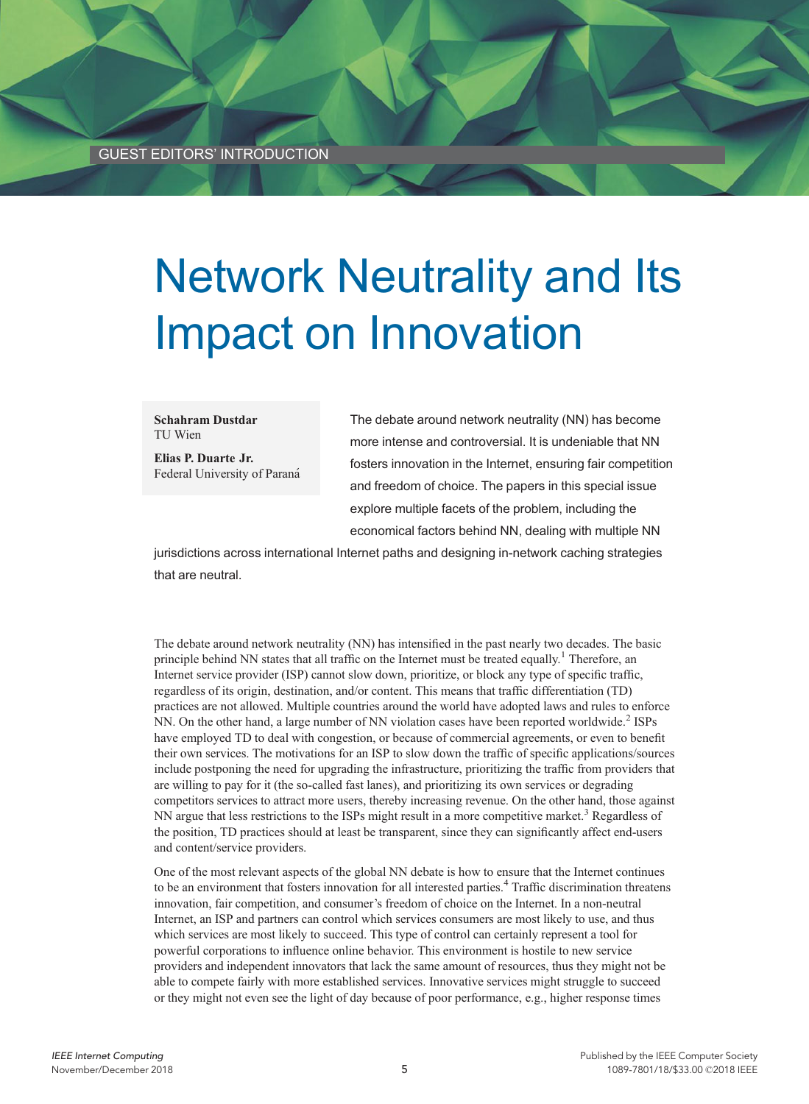# Network Neutrality and Its Impact on Innovation

#### Schahram Dustdar TU Wien

Elias P. Duarte Jr. Federal University of Paraná

The debate around network neutrality (NN) has become more intense and controversial. It is undeniable that NN fosters innovation in the Internet, ensuring fair competition and freedom of choice. The papers in this special issue explore multiple facets of the problem, including the economical factors behind NN, dealing with multiple NN

jurisdictions across international Internet paths and designing in-network caching strategies that are neutral.

The debate around network neutrality (NN) has intensified in the past nearly two decades. The basic principle behind NN states that all traffic on the Internet must be treated equally.<sup>1</sup> Therefore, an Internet service provider (ISP) cannot slow down, prioritize, or block any type of specific traffic, regardless of its origin, destination, and/or content. This means that traffic differentiation (TD) practices are not allowed. Multiple countries around the world have adopted laws and rules to enforce NN. On the other hand, a large number of NN violation cases have been reported worldwide.<sup>2</sup> ISPs have employed TD to deal with congestion, or because of commercial agreements, or even to benefit their own services. The motivations for an ISP to slow down the traffic of specific applications/sources include postponing the need for upgrading the infrastructure, prioritizing the traffic from providers that are willing to pay for it (the so-called fast lanes), and prioritizing its own services or degrading competitors services to attract more users, thereby increasing revenue. On the other hand, those against NN argue that less restrictions to the ISPs might result in a more competitive market.<sup>3</sup> Regardless of the position, TD practices should at least be transparent, since they can significantly affect end-users and content/service providers.

One of the most relevant aspects of the global NN debate is how to ensure that the Internet continues to be an environment that fosters innovation for all interested parties.<sup>4</sup> Traffic discrimination threatens innovation, fair competition, and consumer's freedom of choice on the Internet. In a non-neutral Internet, an ISP and partners can control which services consumers are most likely to use, and thus which services are most likely to succeed. This type of control can certainly represent a tool for powerful corporations to influence online behavior. This environment is hostile to new service providers and independent innovators that lack the same amount of resources, thus they might not be able to compete fairly with more established services. Innovative services might struggle to succeed or they might not even see the light of day because of poor performance, e.g., higher response times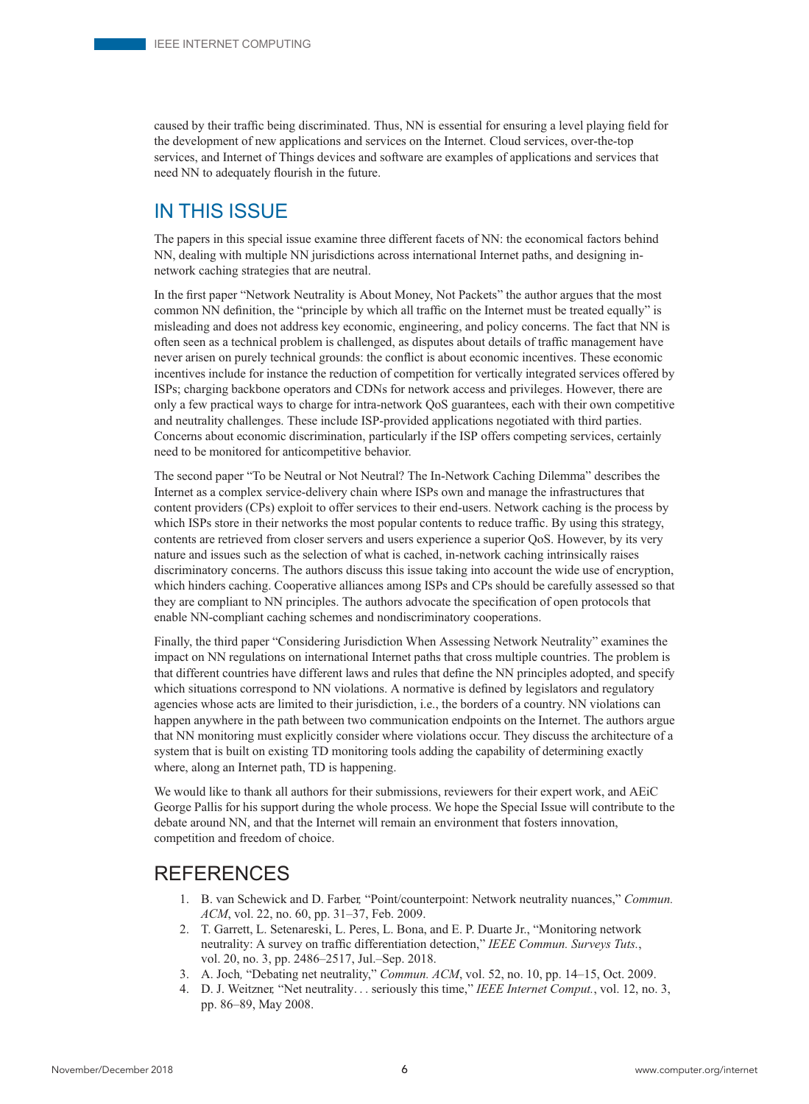caused by their traffic being discriminated. Thus, NN is essential for ensuring a level playing field for the development of new applications and services on the Internet. Cloud services, over-the-top services, and Internet of Things devices and software are examples of applications and services that need NN to adequately flourish in the future.

### IN THIS ISSUE

The papers in this special issue examine three different facets of NN: the economical factors behind NN, dealing with multiple NN jurisdictions across international Internet paths, and designing innetwork caching strategies that are neutral.

In the first paper "Network Neutrality is About Money, Not Packets" the author argues that the most common NN definition, the "principle by which all traffic on the Internet must be treated equally" is misleading and does not address key economic, engineering, and policy concerns. The fact that NN is often seen as a technical problem is challenged, as disputes about details of traffic management have never arisen on purely technical grounds: the conflict is about economic incentives. These economic incentives include for instance the reduction of competition for vertically integrated services offered by ISPs; charging backbone operators and CDNs for network access and privileges. However, there are only a few practical ways to charge for intra-network QoS guarantees, each with their own competitive and neutrality challenges. These include ISP-provided applications negotiated with third parties. Concerns about economic discrimination, particularly if the ISP offers competing services, certainly need to be monitored for anticompetitive behavior.

The second paper "To be Neutral or Not Neutral? The In-Network Caching Dilemma" describes the Internet as a complex service-delivery chain where ISPs own and manage the infrastructures that content providers (CPs) exploit to offer services to their end-users. Network caching is the process by which ISPs store in their networks the most popular contents to reduce traffic. By using this strategy, contents are retrieved from closer servers and users experience a superior QoS. However, by its very nature and issues such as the selection of what is cached, in-network caching intrinsically raises discriminatory concerns. The authors discuss this issue taking into account the wide use of encryption, which hinders caching. Cooperative alliances among ISPs and CPs should be carefully assessed so that they are compliant to NN principles. The authors advocate the specification of open protocols that enable NN-compliant caching schemes and nondiscriminatory cooperations.

Finally, the third paper "Considering Jurisdiction When Assessing Network Neutrality" examines the impact on NN regulations on international Internet paths that cross multiple countries. The problem is that different countries have different laws and rules that define the NN principles adopted, and specify which situations correspond to NN violations. A normative is defined by legislators and regulatory agencies whose acts are limited to their jurisdiction, i.e., the borders of a country. NN violations can happen anywhere in the path between two communication endpoints on the Internet. The authors argue that NN monitoring must explicitly consider where violations occur. They discuss the architecture of a system that is built on existing TD monitoring tools adding the capability of determining exactly where, along an Internet path, TD is happening.

We would like to thank all authors for their submissions, reviewers for their expert work, and AEiC George Pallis for his support during the whole process. We hope the Special Issue will contribute to the debate around NN, and that the Internet will remain an environment that fosters innovation, competition and freedom of choice.

#### **REFERENCES**

- 1. B. van Schewick and D. Farber, "Point/counterpoint: Network neutrality nuances," Commun. ACM, vol. 22, no. 60, pp. 31–37, Feb. 2009.
- 2. T. Garrett, L. Setenareski, L. Peres, L. Bona, and E. P. Duarte Jr., "Monitoring network neutrality: A survey on traffic differentiation detection," IEEE Commun. Surveys Tuts., vol. 20, no. 3, pp. 2486–2517, Jul.–Sep. 2018.
- 3. A. Joch, "Debating net neutrality," Commun. ACM, vol. 52, no. 10, pp. 14–15, Oct. 2009.
- 4. D. J. Weitzner, "Net neutrality... seriously this time," IEEE Internet Comput., vol. 12, no. 3, pp. 86–89, May 2008.